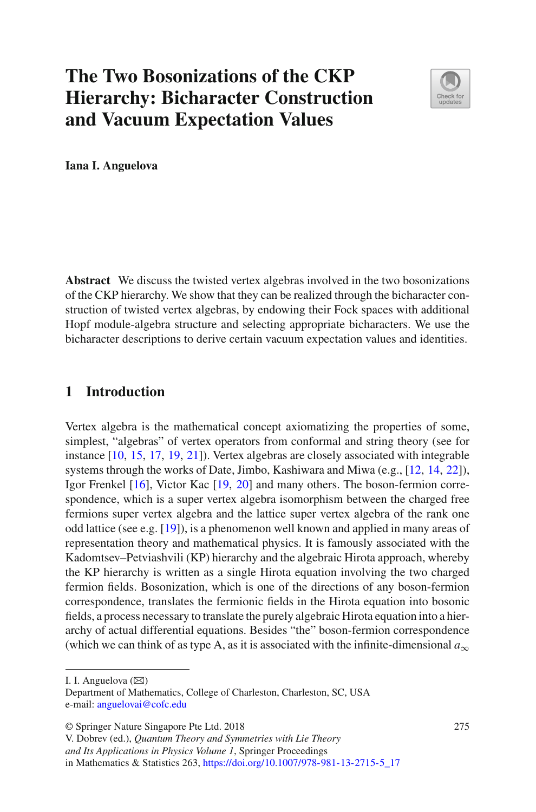# **The Two Bosonizations of the CKP Hierarchy: Bicharacter Construction and Vacuum Expectation Values**



**Iana I. Anguelova**

**Abstract** We discuss the twisted vertex algebras involved in the two bosonizations of the CKP hierarchy. We show that they can be realized through the bicharacter construction of twisted vertex algebras, by endowing their Fock spaces with additional Hopf module-algebra structure and selecting appropriate bicharacters. We use the bicharacter descriptions to derive certain vacuum expectation values and identities.

## **1 Introduction**

Vertex algebra is the mathematical concept axiomatizing the properties of some, simplest, "algebras" of vertex operators from conformal and string theory (see for instance [\[10,](#page-16-0) [15](#page-16-1), [17](#page-17-0), [19,](#page-17-1) [21](#page-17-2)]). Vertex algebras are closely associated with integrable systems through the works of Date, Jimbo, Kashiwara and Miwa (e.g., [\[12](#page-16-2), [14,](#page-16-3) [22](#page-17-3)]), Igor Frenkel [\[16](#page-17-4)], Victor Kac [\[19,](#page-17-1) [20\]](#page-17-5) and many others. The boson-fermion correspondence, which is a super vertex algebra isomorphism between the charged free fermions super vertex algebra and the lattice super vertex algebra of the rank one odd lattice (see e.g. [\[19\]](#page-17-1)), is a phenomenon well known and applied in many areas of representation theory and mathematical physics. It is famously associated with the Kadomtsev–Petviashvili (KP) hierarchy and the algebraic Hirota approach, whereby the KP hierarchy is written as a single Hirota equation involving the two charged fermion fields. Bosonization, which is one of the directions of any boson-fermion correspondence, translates the fermionic fields in the Hirota equation into bosonic fields, a process necessary to translate the purely algebraic Hirota equation into a hierarchy of actual differential equations. Besides "the" boson-fermion correspondence (which we can think of as type A, as it is associated with the infinite-dimensional  $a_{\infty}$ 

I. I. Anguelova  $(\boxtimes)$ 

Department of Mathematics, College of Charleston, Charleston, SC, USA e-mail: [anguelovai@cofc.edu](mailto:anguelovai@cofc.edu)

<sup>©</sup> Springer Nature Singapore Pte Ltd. 2018

V. Dobrev (ed.), *Quantum Theory and Symmetries with Lie Theory and Its Applications in Physics Volume 1*, Springer Proceedings in Mathematics & Statistics 263, [https://doi.org/10.1007/978-981-13-2715-5\\_17](https://doi.org/10.1007/978-981-13-2715-5_17)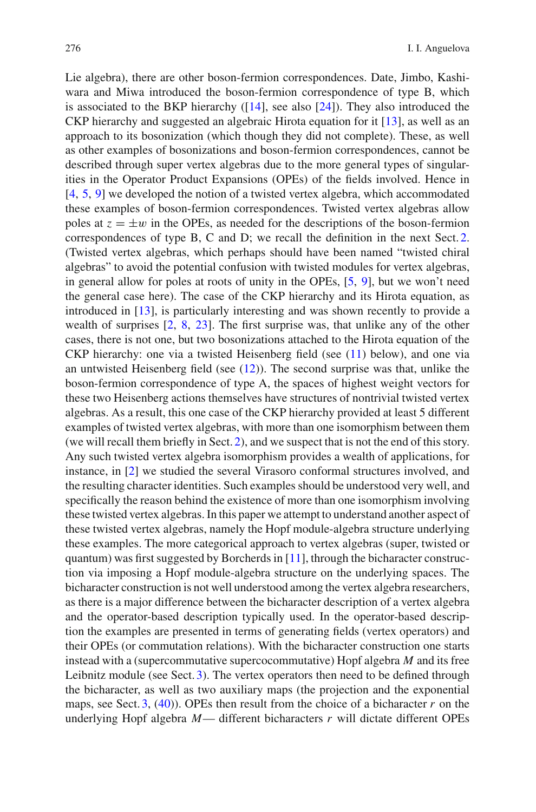Lie algebra), there are other boson-fermion correspondences. Date, Jimbo, Kashiwara and Miwa introduced the boson-fermion correspondence of type B, which is associated to the BKP hierarchy  $([14]$  $([14]$  $([14]$ , see also  $[24]$ ). They also introduced the CKP hierarchy and suggested an algebraic Hirota equation for it [\[13\]](#page-16-4), as well as an approach to its bosonization (which though they did not complete). These, as well as other examples of bosonizations and boson-fermion correspondences, cannot be described through super vertex algebras due to the more general types of singularities in the Operator Product Expansions (OPEs) of the fields involved. Hence in [\[4,](#page-16-5) [5,](#page-16-6) [9](#page-16-7)] we developed the notion of a twisted vertex algebra, which accommodated these examples of boson-fermion correspondences. Twisted vertex algebras allow poles at  $z = \pm w$  in the OPEs, as needed for the descriptions of the boson-fermion correspondences of type B, C and D; we recall the definition in the next Sect. [2.](#page-2-0) (Twisted vertex algebras, which perhaps should have been named "twisted chiral algebras" to avoid the potential confusion with twisted modules for vertex algebras, in general allow for poles at roots of unity in the OPEs, [\[5](#page-16-6), [9\]](#page-16-7), but we won't need the general case here). The case of the CKP hierarchy and its Hirota equation, as introduced in [\[13](#page-16-4)], is particularly interesting and was shown recently to provide a wealth of surprises [\[2](#page-16-8), [8,](#page-16-9) [23](#page-17-7)]. The first surprise was, that unlike any of the other cases, there is not one, but two bosonizations attached to the Hirota equation of the CKP hierarchy: one via a twisted Heisenberg field (see [\(11\)](#page-5-0) below), and one via an untwisted Heisenberg field (see  $(12)$ ). The second surprise was that, unlike the boson-fermion correspondence of type A, the spaces of highest weight vectors for these two Heisenberg actions themselves have structures of nontrivial twisted vertex algebras. As a result, this one case of the CKP hierarchy provided at least 5 different examples of twisted vertex algebras, with more than one isomorphism between them (we will recall them briefly in Sect. [2\)](#page-2-0), and we suspect that is not the end of this story. Any such twisted vertex algebra isomorphism provides a wealth of applications, for instance, in [\[2\]](#page-16-8) we studied the several Virasoro conformal structures involved, and the resulting character identities. Such examples should be understood very well, and specifically the reason behind the existence of more than one isomorphism involving these twisted vertex algebras. In this paper we attempt to understand another aspect of these twisted vertex algebras, namely the Hopf module-algebra structure underlying these examples. The more categorical approach to vertex algebras (super, twisted or quantum) was first suggested by Borcherds in  $[11]$  $[11]$ , through the bicharacter construction via imposing a Hopf module-algebra structure on the underlying spaces. The bicharacter construction is not well understood among the vertex algebra researchers, as there is a major difference between the bicharacter description of a vertex algebra and the operator-based description typically used. In the operator-based description the examples are presented in terms of generating fields (vertex operators) and their OPEs (or commutation relations). With the bicharacter construction one starts instead with a (supercommutative supercocommutative) Hopf algebra *M* and its free Leibnitz module (see Sect. [3\)](#page-7-0). The vertex operators then need to be defined through the bicharacter, as well as two auxiliary maps (the projection and the exponential maps, see Sect. [3,](#page-7-0) [\(40\)](#page-10-0)). OPEs then result from the choice of a bicharacter  $r$  on the underlying Hopf algebra *M*— different bicharacters *r* will dictate different OPEs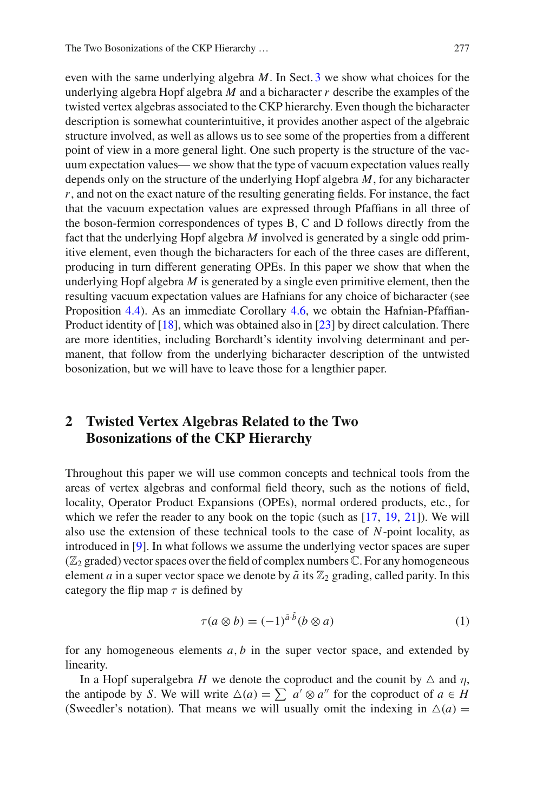even with the same underlying algebra *M*. In Sect. [3](#page-7-0) we show what choices for the underlying algebra Hopf algebra *M* and a bicharacter *r* describe the examples of the twisted vertex algebras associated to the CKP hierarchy. Even though the bicharacter description is somewhat counterintuitive, it provides another aspect of the algebraic structure involved, as well as allows us to see some of the properties from a different point of view in a more general light. One such property is the structure of the vacuum expectation values— we show that the type of vacuum expectation values really depends only on the structure of the underlying Hopf algebra *M*, for any bicharacter *r*, and not on the exact nature of the resulting generating fields. For instance, the fact that the vacuum expectation values are expressed through Pfaffians in all three of the boson-fermion correspondences of types B, C and D follows directly from the fact that the underlying Hopf algebra *M* involved is generated by a single odd primitive element, even though the bicharacters for each of the three cases are different, producing in turn different generating OPEs. In this paper we show that when the underlying Hopf algebra *M* is generated by a single even primitive element, then the resulting vacuum expectation values are Hafnians for any choice of bicharacter (see Proposition [4.4\)](#page-15-0). As an immediate Corollary [4.6,](#page-15-1) we obtain the Hafnian-Pfaffian-Product identity of [\[18\]](#page-17-8), which was obtained also in [\[23\]](#page-17-7) by direct calculation. There are more identities, including Borchardt's identity involving determinant and permanent, that follow from the underlying bicharacter description of the untwisted bosonization, but we will have to leave those for a lengthier paper.

#### <span id="page-2-0"></span>**2 Twisted Vertex Algebras Related to the Two Bosonizations of the CKP Hierarchy**

Throughout this paper we will use common concepts and technical tools from the areas of vertex algebras and conformal field theory, such as the notions of field, locality, Operator Product Expansions (OPEs), normal ordered products, etc., for which we refer the reader to any book on the topic (such as  $[17, 19, 21]$  $[17, 19, 21]$  $[17, 19, 21]$  $[17, 19, 21]$  $[17, 19, 21]$ ). We will also use the extension of these technical tools to the case of *N*-point locality, as introduced in [\[9\]](#page-16-7). In what follows we assume the underlying vector spaces are super ( $\mathbb{Z}_2$  graded) vector spaces over the field of complex numbers  $\mathbb{C}$ . For any homogeneous element *a* in a super vector space we denote by  $\tilde{a}$  its  $\mathbb{Z}_2$  grading, called parity. In this category the flip map  $\tau$  is defined by

$$
\tau(a\otimes b) = (-1)^{\tilde{a}\cdot b} (b\otimes a)
$$
 (1)

for any homogeneous elements  $a, b$  in the super vector space, and extended by linearity.

In a Hopf superalgebra *H* we denote the coproduct and the counit by  $\triangle$  and  $\eta$ , the antipode by *S*. We will write  $\Delta(a) = \sum a' \otimes a''$  for the coproduct of  $a \in H$ (Sweedler's notation). That means we will usually omit the indexing in  $\Delta(a)$  =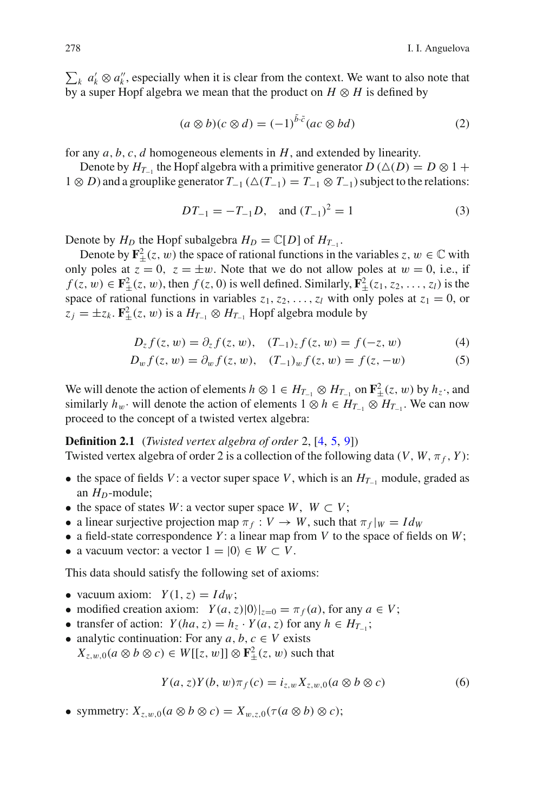$\sum_{k} a'_{k} \otimes a''_{k}$ , especially when it is clear from the context. We want to also note that by a super Hopf algebra we mean that the product on  $H \otimes H$  is defined by

$$
(a \otimes b)(c \otimes d) = (-1)^{b \cdot \tilde{c}} (ac \otimes bd) \tag{2}
$$

for any *a*, *b*, *c*, *d* homogeneous elements in *H*, and extended by linearity.

Denote by  $H_{T_{-1}}$  the Hopf algebra with a primitive generator  $D(\triangle(D) = D \otimes 1 + D)$ 1 ⊗ *D*) and a grouplike generator  $T_{-1}$  ( $\Delta(T_{-1}) = T_{-1} \otimes T_{-1}$ ) subject to the relations:

$$
DT_{-1} = -T_{-1}D, \text{ and } (T_{-1})^2 = 1
$$
 (3)

Denote by  $H_D$  the Hopf subalgebra  $H_D = \mathbb{C}[D]$  of  $H_T$ .

Denote by  $\mathbf{F}_{\pm}^2(z, w)$  the space of rational functions in the variables  $z, w \in \mathbb{C}$  with only poles at  $z = 0$ ,  $z = \pm w$ . Note that we do not allow poles at  $w = 0$ , i.e., if *f* (*z*, *w*) ∈ **F**<sup>2</sup><sub>±</sub>(*z*, *w*), then *f* (*z*, 0) is well defined. Similarly, **F**<sup>2</sup><sub>±</sub>(*z*<sub>1</sub>, *z*<sub>2</sub>, ..., *z*<sub>*l*</sub>) is the space of rational functions in variables  $z_1, z_2, \ldots, z_l$  with only poles at  $z_1 = 0$ , or  $z_j = \pm z_k$ .  $\mathbf{F}_{\pm}^2(z, w)$  is a  $H_{T_{-1}} \otimes H_{T_{-1}}$  Hopf algebra module by

$$
D_z f(z, w) = \partial_z f(z, w), \quad (T_{-1})_z f(z, w) = f(-z, w)
$$
(4)

$$
D_w f(z, w) = \partial_w f(z, w), \quad (T_{-1})_w f(z, w) = f(z, -w) \tag{5}
$$

We will denote the action of elements  $h \otimes 1 \in H_{T-1} \otimes H_{T-1}$  on  $\mathbf{F}_{\pm}^2(z, w)$  by  $h_z$ , and similarly  $h_w$ · will denote the action of elements  $1 \otimes h \in H_{T-1} \otimes H_{T-1}$ . We can now proceed to the concept of a twisted vertex algebra:

**Definition 2.1** (*Twisted vertex algebra of order* 2, [\[4,](#page-16-5) [5,](#page-16-6) [9](#page-16-7)]) Twisted vertex algebra of order 2 is a collection of the following data (*V*, *W*,  $\pi_f$ , *Y*):

- the space of fields *V*: a vector super space *V*, which is an  $H_{T-1}$  module, graded as an  $H_D$ -module;
- the space of states *W*: a vector super space *W*,  $W \subset V$ ;
- a linear surjective projection map  $\pi_f : V \to W$ , such that  $\pi_f|_W = Id_W$
- a field-state correspondence  $Y$ : a linear map from  $V$  to the space of fields on  $W$ ;
- a vacuum vector: a vector  $1 = |0\rangle \in W \subset V$ .

This data should satisfy the following set of axioms:

- vacuum axiom:  $Y(1, z) = Id_W$ ;
- modified creation axiom:  $Y(a, z)|0\rangle|_{z=0} = \pi_f(a)$ , for any  $a \in V$ ;
- transfer of action:  $Y(ha, z) = h_z \cdot Y(a, z)$  for any  $h \in H_{T-1}$ ;
- analytic continuation: For any  $a, b, c \in V$  exists  $X_{z,w,0}(a\otimes b\otimes c) \in W[[z,w]] \otimes \mathbf{F}^2_{\pm}(z,w)$  such that

$$
Y(a, z)Y(b, w)\pi_f(c) = i_{z,w}X_{z,w,0}(a \otimes b \otimes c)
$$
 (6)

• symmetry:  $X_{z,w,0}(a \otimes b \otimes c) = X_{w,z,0}(\tau(a \otimes b) \otimes c);$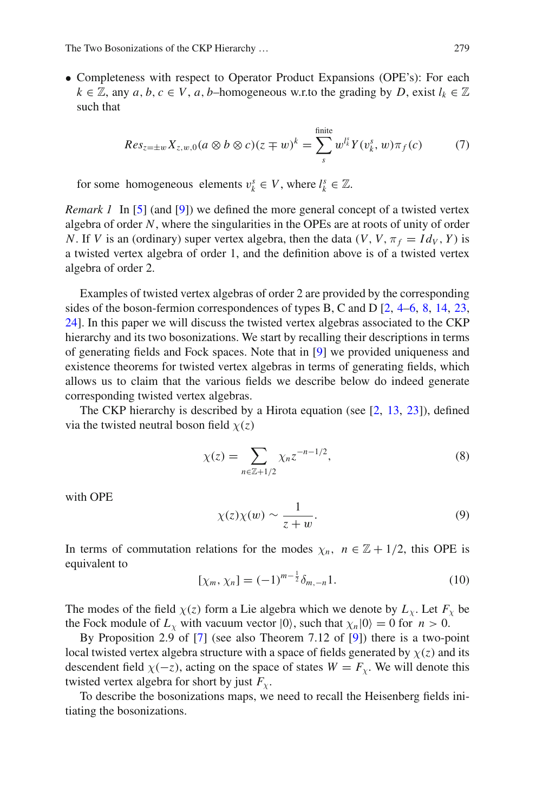• Completeness with respect to Operator Product Expansions (OPE's): For each  $k \in \mathbb{Z}$ , any  $a, b, c \in V$ ,  $a, b$ –homogeneous w.r.to the grading by *D*, exist  $l_k \in \mathbb{Z}$ such that

$$
Res_{z=\pm w} X_{z,w,0}(a\otimes b\otimes c)(z\mp w)^k = \sum_{s}^{\text{finite}} w^{l_s^s} Y(v_k^s, w)\pi_f(c) \tag{7}
$$

for some homogeneous elements  $v_k^s \in V$ , where  $l_k^s \in \mathbb{Z}$ .

*Remark 1* In [\[5](#page-16-6)] (and [\[9\]](#page-16-7)) we defined the more general concept of a twisted vertex algebra of order *N*, where the singularities in the OPEs are at roots of unity of order *N*. If *V* is an (ordinary) super vertex algebra, then the data  $(V, V, \pi_f = Id_V, Y)$  is a twisted vertex algebra of order 1, and the definition above is of a twisted vertex algebra of order 2.

Examples of twisted vertex algebras of order 2 are provided by the corresponding sides of the boson-fermion correspondences of types B, C and D [\[2](#page-16-8), [4](#page-16-5)[–6,](#page-16-11) [8,](#page-16-9) [14](#page-16-3), [23,](#page-17-7) [24\]](#page-17-6). In this paper we will discuss the twisted vertex algebras associated to the CKP hierarchy and its two bosonizations. We start by recalling their descriptions in terms of generating fields and Fock spaces. Note that in [\[9\]](#page-16-7) we provided uniqueness and existence theorems for twisted vertex algebras in terms of generating fields, which allows us to claim that the various fields we describe below do indeed generate corresponding twisted vertex algebras.

The CKP hierarchy is described by a Hirota equation (see [\[2](#page-16-8), [13,](#page-16-4) [23\]](#page-17-7)), defined via the twisted neutral boson field  $\chi(z)$ 

$$
\chi(z) = \sum_{n \in \mathbb{Z} + 1/2} \chi_n z^{-n - 1/2},\tag{8}
$$

with OPE

<span id="page-4-0"></span>
$$
\chi(z)\chi(w) \sim \frac{1}{z+w}.\tag{9}
$$

In terms of commutation relations for the modes  $\chi_n$ ,  $n \in \mathbb{Z} + 1/2$ , this OPE is equivalent to

$$
[\chi_m, \chi_n] = (-1)^{m - \frac{1}{2}} \delta_{m, -n} 1.
$$
 (10)

The modes of the field  $\chi(z)$  form a Lie algebra which we denote by  $L_{\chi}$ . Let  $F_{\chi}$  be the Fock module of  $L_{\chi}$  with vacuum vector  $|0\rangle$ , such that  $\chi_n|0\rangle=0$  for  $n>0$ .

By Proposition 2.9 of [\[7\]](#page-16-12) (see also Theorem 7.12 of [\[9](#page-16-7)]) there is a two-point local twisted vertex algebra structure with a space of fields generated by  $\chi(z)$  and its descendent field  $\chi(-z)$ , acting on the space of states  $W = F_{\chi}$ . We will denote this twisted vertex algebra for short by just  $F<sub>x</sub>$ .

To describe the bosonizations maps, we need to recall the Heisenberg fields initiating the bosonizations.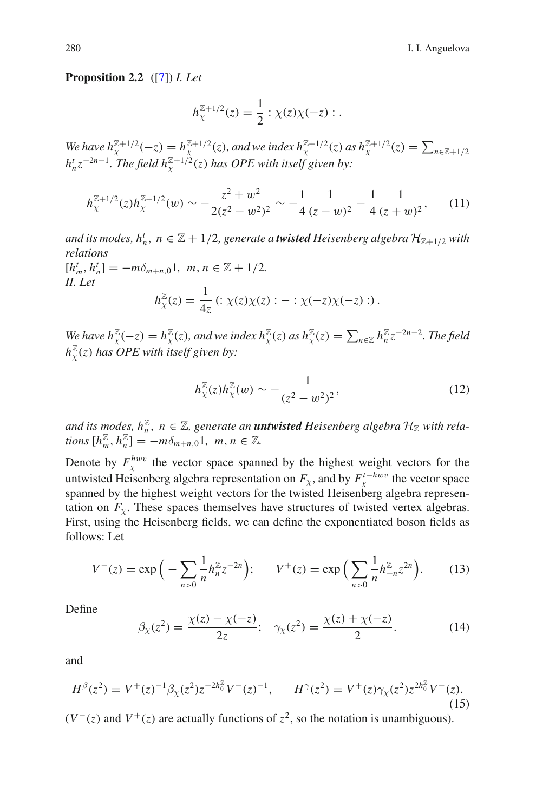#### **Proposition 2.2** ([\[7](#page-16-12)]) *I. Let*

$$
h_{\chi}^{\mathbb{Z}+1/2}(z) = \frac{1}{2} : \chi(z)\chi(-z) : .
$$

*We have h*<sup> $\mathbb{Z}+1/2$ </sup>(-*z*) =  $h_{\chi}^{\mathbb{Z}+1/2}(z)$ , and we index h<sub> $_{\chi}^{\mathbb{Z}+1/2}(z)$  as  $h_{\chi}^{\mathbb{Z}+1/2}(z) = \sum_{n \in \mathbb{Z}+1/2}$ <br>*ht*  $z^{-2n-1}$ . The field  $h_{\chi}^{\mathbb{Z}+1/2}(z)$  has *OBE* with itself given by</sub>  $h_n^t z^{-2n-1}$ . The field  $h_\chi^{\mathbb{Z}+1/2}(z)$  has OPE with itself given by:

<span id="page-5-0"></span>
$$
h_{\chi}^{\mathbb{Z}+1/2}(z)h_{\chi}^{\mathbb{Z}+1/2}(w) \sim -\frac{z^2+w^2}{2(z^2-w^2)^2} \sim -\frac{1}{4}\frac{1}{(z-w)^2} - \frac{1}{4}\frac{1}{(z+w)^2},\qquad(11)
$$

*and its modes,*  $h_n^t$ *,*  $n \in \mathbb{Z} + 1/2$ *, generate a twisted Heisenberg algebra*  $\mathcal{H}_{\mathbb{Z}+1/2}$  *with relations*

 $[h_m^t, h_n^t] = -m\delta_{m+n,0}1, m, n \in \mathbb{Z} + 1/2.$ <br>*II Let II. Let*  $h_{\chi}^{\mathbb{Z}}(z) = \frac{1}{4z}$  (:  $\chi(z)\chi(z)$  : - :  $\chi(-z)\chi(-z)$  :).

*We have h*<sup>Z</sup><sub> $\sqrt{2}$ </sub> (-*z*) =  $h_X^{\mathbb{Z}}(z)$ , and we index  $h_X^{\mathbb{Z}}(z)$  as  $h_X^{\mathbb{Z}}(z) = \sum_{n \in \mathbb{Z}} h_n^{\mathbb{Z}} z^{-2n-2}$ . The field  $h^{\mathbb{Z}}(z)$  has  $OPE$  with itself given by:  $h_{\chi}^{\mathbb{Z}}(z)$  *has OPE with itself given by:* 

<span id="page-5-1"></span>
$$
h_{\chi}^{\mathbb{Z}}(z)h_{\chi}^{\mathbb{Z}}(w) \sim -\frac{1}{(z^2 - w^2)^2},\tag{12}
$$

*and its modes,*  $h^{\mathbb{Z}}_n$ ,  $n \in \mathbb{Z}$ , generate an *untwisted Heisenberg algebra*  $\mathcal{H}_{\mathbb{Z}}$  with rela*tions*  $[h_m^{\mathbb{Z}}, h_n^{\mathbb{Z}}] = -m\delta_{m+n,0}$ <sup> $1, m, n \in \mathbb{Z}$ .</sup>

Denote by  $F_{\lambda}^{huv}$  the vector space spanned by the highest weight vectors for the unit visited Usicophere electron consecutation on  $F_{\lambda}$  and by  $F_{\lambda}^{L-huv}$  the vector cross untwisted Heisenberg algebra representation on  $F_\chi$ , and by  $F_\chi^{t-hwv}$  the vector space spanned by the highest weight vectors for the twisted Heisenberg algebra representation on  $F<sub>x</sub>$ . These spaces themselves have structures of twisted vertex algebras. First, using the Heisenberg fields, we can define the exponentiated boson fields as follows: Let

$$
V^{-}(z) = \exp\left(-\sum_{n>0} \frac{1}{n} h_{n}^{Z} z^{-2n}\right); \qquad V^{+}(z) = \exp\left(\sum_{n>0} \frac{1}{n} h_{-n}^{Z} z^{2n}\right).
$$
 (13)

Define

$$
\beta_{\chi}(z^2) = \frac{\chi(z) - \chi(-z)}{2z}; \quad \gamma_{\chi}(z^2) = \frac{\chi(z) + \chi(-z)}{2}.
$$
 (14)

and

$$
H^{\beta}(z^2) = V^+(z)^{-1} \beta_{\chi}(z^2) z^{-2h_0^z} V^-(z)^{-1}, \qquad H^{\gamma}(z^2) = V^+(z) \gamma_{\chi}(z^2) z^{2h_0^z} V^-(z). \tag{15}
$$

 $(V^-(z)$  and  $V^+(z)$  are actually functions of  $z^2$ , so the notation is unambiguous).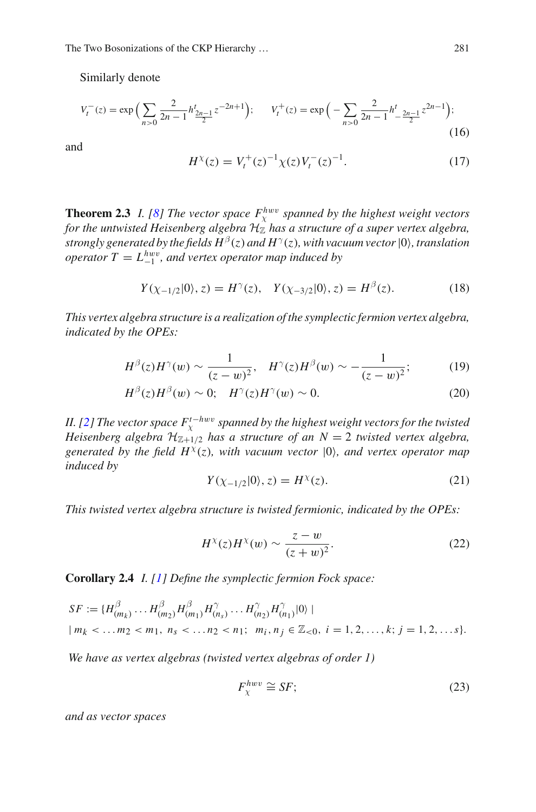The Two Bosonizations of the CKP Hierarchy … 281

Similarly denote

$$
V_t^-(z) = \exp\left(\sum_{n>0} \frac{2}{2n-1} h_{\frac{2n-1}{2}}^t z^{-2n+1}\right); \qquad V_t^+(z) = \exp\left(-\sum_{n>0} \frac{2}{2n-1} h_{-\frac{2n-1}{2}}^t z^{2n-1}\right);
$$
\n(16)

and

$$
H^{\chi}(z) = V_t^+(z)^{-1} \chi(z) V_t^-(z)^{-1}.
$$
 (17)

**Theorem 2.3** *I.* [\[8\]](#page-16-9) The vector space  $F_{\chi}^{h w v}$  spanned by the highest weight vectors for the untwisted Heisenberg algebra  $H_{\mathbb{Z}}$  has a structure of a super vertex algebra, *strongly generated by the fields*  $H^{\beta}(z)$  *and*  $H^{\gamma}(z)$ *, with vacuum vector*  $|0\rangle$ *, translation*  $\Delta$ *operator*  $T = L_{-1}^{huv}$ , and vertex operator map induced by

$$
Y(\chi_{-1/2}|0\rangle, z) = H^{\gamma}(z), \quad Y(\chi_{-3/2}|0\rangle, z) = H^{\beta}(z). \tag{18}
$$

*This vertex algebra structure is a realization of the symplectic fermion vertex algebra, indicated by the OPEs:*

$$
H^{\beta}(z)H^{\gamma}(w) \sim \frac{1}{(z-w)^2}, \quad H^{\gamma}(z)H^{\beta}(w) \sim -\frac{1}{(z-w)^2};
$$
 (19)

$$
H^{\beta}(z)H^{\beta}(w) \sim 0; \quad H^{\gamma}(z)H^{\gamma}(w) \sim 0. \tag{20}
$$

*II.* [\[2\]](#page-16-8) The vector space  $F_{\lambda}^{t-hwv}$  spanned by the highest weight vectors for the twisted Heisenberg algebra  $H_{\alpha}$ ,  $\mu_{\alpha}$  has a structure of an  $N-2$  twisted vertex algebra *Heisenberg algebra*  $H_{\mathbb{Z}+1/2}$  *has a structure of an*  $N=2$  *twisted vertex algebra, generated by the field H*χ(*z*)*, with vacuum vector* |0 *, and vertex operator map induced by*

$$
Y(\chi_{-1/2}|0\rangle, z) = H^{\chi}(z). \tag{21}
$$

*This twisted vertex algebra structure is twisted fermionic, indicated by the OPEs:*

$$
H^{\chi}(z)H^{\chi}(w) \sim \frac{z-w}{(z+w)^2}.
$$
 (22)

**Corollary 2.4** *I. [\[1\]](#page-16-13) Define the symplectic fermion Fock space:*

$$
SF := \{H_{(m_k)}^{\beta} \dots H_{(m_2)}^{\beta} H_{(m_1)}^{\beta} H_{(n_s)}^{\gamma} \dots H_{(n_2)}^{\gamma} H_{(n_1)}^{\gamma} |0\rangle \mid
$$
  
\n $| m_k < \dots m_2 < m_1, n_s < \dots n_2 < n_1; m_i, n_j \in \mathbb{Z}_{<0}, i = 1, 2, \dots, k; j = 1, 2, \dots s\}.$ 

*We have as vertex algebras (twisted vertex algebras of order 1)*

$$
F_{\chi}^{hww} \cong SF;\tag{23}
$$

*and as vector spaces*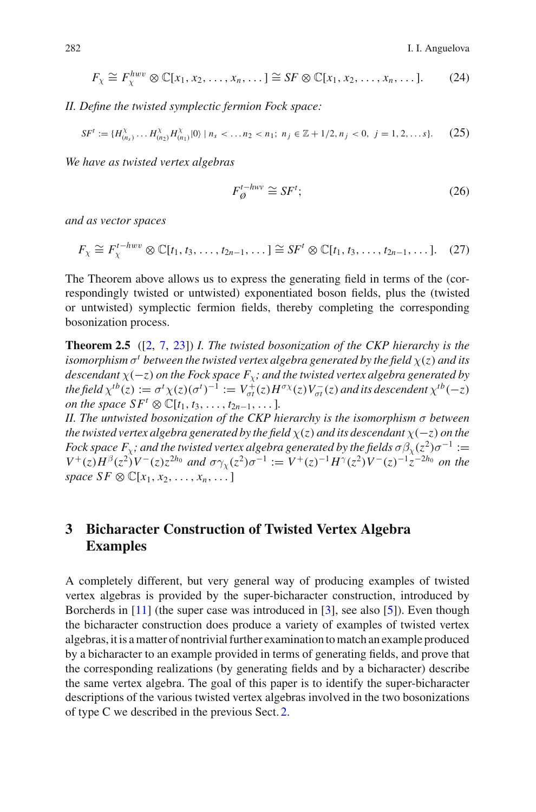$$
F_{\chi} \cong F_{\chi}^{huv} \otimes \mathbb{C}[x_1, x_2, \dots, x_n, \dots] \cong SF \otimes \mathbb{C}[x_1, x_2, \dots, x_n, \dots]. \tag{24}
$$

*II. Define the twisted symplectic fermion Fock space:*

$$
SF' := \{H^{\chi}_{(n_S)} \dots H^{\chi}_{(n_2)} H^{\chi}_{(n_1)} | 0 \rangle \mid n_S < \dots n_2 < n_1; \ n_j \in \mathbb{Z} + 1/2, n_j < 0, \ j = 1, 2, \dots s\}. \tag{25}
$$

*We have as twisted vertex algebras*

$$
F_{\emptyset}^{t-lwv} \cong SF';\tag{26}
$$

*and as vector spaces*

$$
F_{\chi} \cong F_{\chi}^{t-hwv} \otimes \mathbb{C}[t_1, t_3, \ldots, t_{2n-1}, \ldots] \cong SF^t \otimes \mathbb{C}[t_1, t_3, \ldots, t_{2n-1}, \ldots]. \tag{27}
$$

The Theorem above allows us to express the generating field in terms of the (correspondingly twisted or untwisted) exponentiated boson fields, plus the (twisted or untwisted) symplectic fermion fields, thereby completing the corresponding bosonization process.

**Theorem 2.5** ([\[2,](#page-16-8) [7,](#page-16-12) [23](#page-17-7)]) *I. The twisted bosonization of the CKP hierarchy is the isomorphism*  $\sigma^t$  *between the twisted vertex algebra generated by the field*  $\chi(z)$  *and its descendant*  $\chi(-z)$  *on the Fock space*  $F_x$ *; and the twisted vertex algebra generated by the field*  $\chi^{tb}(z) := \sigma^t \chi(z) (\sigma^t)^{-1} := V_{\sigma t}^+(z) H^{\sigma \chi}(z) V_{\sigma t}^-(z)$  and its descendent  $\chi^{tb}(-z)$ <br>on the space S  $F^t \otimes \mathbb{C}$  *t*<sub>1</sub> t<sub>2</sub> t<sub>2</sub> t<sub>1</sub> t<sub>2</sub> t<sub>1</sub> *on the space*  $SF^t \otimes \mathbb{C}[t_1, t_3, \ldots, t_{2n-1}, \ldots]$ *.* 

*II. The untwisted bosonization of the CKP hierarchy is the isomorphism* σ *between the twisted vertex algebra generated by the field* χ(*z*) *and its descendant* χ(−*z*) *on the Fock space F<sub>x</sub>; and the twisted vertex algebra generated by the fields*  $\sigma \beta_{\chi}(z^2) \sigma^{-1} :=$  $V^+(z)H^{\beta}(z^2)V^-(z)z^{2h_0}$  *and*  $\sigma\gamma_{\gamma}(z^2)\sigma^{-1} := V^+(z)^{-1}H^{\gamma}(z^2)V^-(z)^{-1}z^{-2h_0}$  *on the space*  $SF \otimes \mathbb{C}[x_1, x_2, \ldots, x_n, \ldots]$ 

## <span id="page-7-0"></span>**3 Bicharacter Construction of Twisted Vertex Algebra Examples**

A completely different, but very general way of producing examples of twisted vertex algebras is provided by the super-bicharacter construction, introduced by Borcherds in  $[11]$  (the super case was introduced in  $[3]$ , see also  $[5]$ ). Even though the bicharacter construction does produce a variety of examples of twisted vertex algebras, it is a matter of nontrivial further examination to match an example produced by a bicharacter to an example provided in terms of generating fields, and prove that the corresponding realizations (by generating fields and by a bicharacter) describe the same vertex algebra. The goal of this paper is to identify the super-bicharacter descriptions of the various twisted vertex algebras involved in the two bosonizations of type C we described in the previous Sect. [2.](#page-2-0)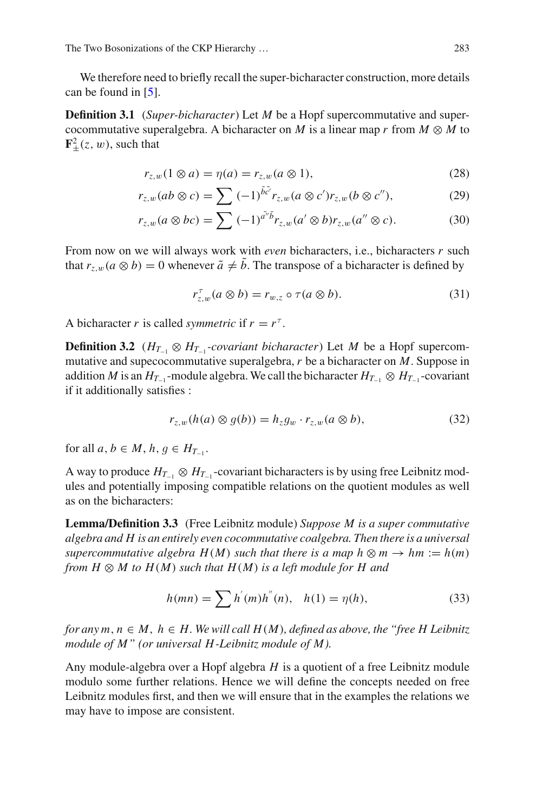We therefore need to briefly recall the super-bicharacter construction, more details can be found in [\[5](#page-16-6)].

**Definition 3.1** (*Super-bicharacter*) Let *M* be a Hopf supercommutative and supercocommutative superalgebra. A bicharacter on *M* is a linear map *r* from  $M \otimes M$  to  $\mathbf{F}_{\pm}^2(z, w)$ , such that

$$
r_{z,w}(1 \otimes a) = \eta(a) = r_{z,w}(a \otimes 1),\tag{28}
$$

$$
r_{z,w}(ab\otimes c)=\sum\left(-1\right)^{\tilde{b}\tilde{c}}r_{z,w}(a\otimes c')r_{z,w}(b\otimes c''),\tag{29}
$$

$$
r_{z,w}(a\otimes bc) = \sum_{z=0}^{\infty} (-1)^{\tilde{a}''\tilde{b}} r_{z,w}(a'\otimes b)r_{z,w}(a''\otimes c). \tag{30}
$$

From now on we will always work with *even* bicharacters, i.e., bicharacters *r* such that  $r_{z,w}(a \otimes b) = 0$  whenever  $\tilde{a} \neq \tilde{b}$ . The transpose of a bicharacter is defined by

$$
r_{z,w}^{\tau}(a\otimes b) = r_{w,z} \circ \tau(a\otimes b). \tag{31}
$$

A bicharacter *r* is called *symmetric* if  $r = r^{\tau}$ .

**Definition 3.2** ( $H_{T-1} \otimes H_{T-1}$ -covariant bicharacter) Let *M* be a Hopf supercommutative and supecocommutative superalgebra, *r* be a bicharacter on *M*. Suppose in addition *M* is an  $H_{T-1}$ -module algebra. We call the bicharacter  $H_{T-1} \otimes H_{T-1}$ -covariant if it additionally satisfies :

$$
r_{z,w}(h(a)\otimes g(b)) = h_z g_w \cdot r_{z,w}(a\otimes b),\tag{32}
$$

for all  $a, b \in M$ ,  $h, g \in H_T$ .

A way to produce  $H_{T-1} \otimes H_{T-1}$ -covariant bicharacters is by using free Leibnitz modules and potentially imposing compatible relations on the quotient modules as well as on the bicharacters:

**Lemma/Definition 3.3** (Free Leibnitz module) *Suppose M is a super commutative algebra and H is an entirely even cocommutative coalgebra. Then there is a universal supercommutative algebra H(M) such that there is a map*  $h \otimes m \rightarrow hm := h(m)$ *from*  $H \otimes M$  *to*  $H(M)$  *such that*  $H(M)$  *is a left module for*  $H$  *and* 

$$
h(mn) = \sum h^{'}(m)h^{''}(n), \quad h(1) = \eta(h), \tag{33}
$$

*for any*  $m, n \in M$ ,  $h \in H$ . We will call  $H(M)$ , defined as above, the "free H Leibnitz *module of M" (or universal H -Leibnitz module of M ).*

Any module-algebra over a Hopf algebra *H* is a quotient of a free Leibnitz module modulo some further relations. Hence we will define the concepts needed on free Leibnitz modules first, and then we will ensure that in the examples the relations we may have to impose are consistent.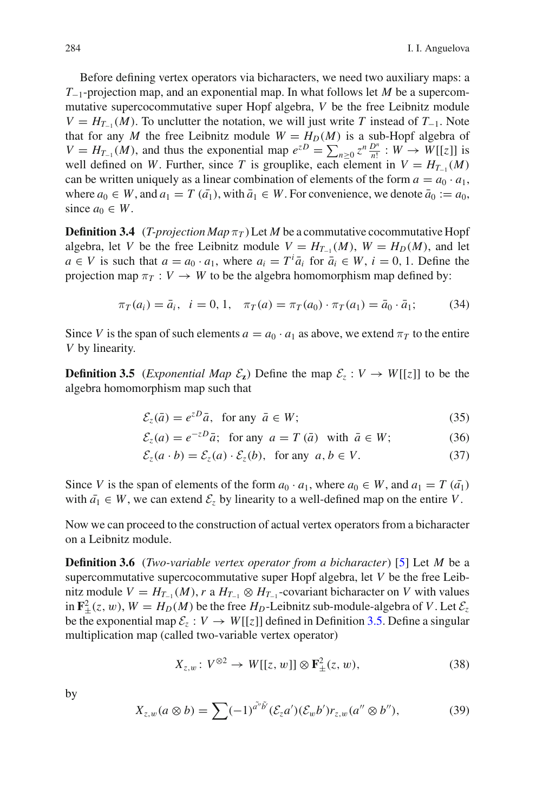Before defining vertex operators via bicharacters, we need two auxiliary maps: a *T*−1-projection map, and an exponential map. In what follows let *M* be a supercommutative supercocommutative super Hopf algebra, *V* be the free Leibnitz module  $V = H_{T-1}(M)$ . To unclutter the notation, we will just write *T* instead of  $T_{-1}$ . Note that for any *M* the free Leibnitz module  $W = H_D(M)$  is a sub-Hopf algebra of *V* = *H<sub>T−1</sub>*(*M*), and thus the exponential map  $e^{zD} = \sum_{n\geq 0} z^n \frac{D^n}{n!}$  :  $W \to W[[z]]$  is well defined on *W*. Further, since *T* is grouplike, each element in  $V = H_{T-1}(M)$ can be written uniquely as a linear combination of elements of the form  $a = a_0 \cdot a_1$ , where  $a_0 \in W$ , and  $a_1 = T(\bar{a_1})$ , with  $\bar{a_1} \in W$ . For convenience, we denote  $\bar{a_0} := a_0$ , since  $a_0 \in W$ .

<span id="page-9-1"></span>**Definition 3.4** (*T-projection Map*  $\pi$ *T*) Let *M* be a commutative cocommutative Hopf algebra, let *V* be the free Leibnitz module  $V = H_{T-1}(M)$ ,  $W = H_D(M)$ , and let *a* ∈ *V* is such that  $a = a_0 \cdot a_1$ , where  $a_i = T^i \overline{a}_i$  for  $\overline{a}_i \in W$ ,  $i = 0, 1$ . Define the projection map  $\pi_T : V \to W$  to be the algebra homomorphism map defined by:

$$
\pi_T(a_i) = \bar{a}_i, \quad i = 0, 1, \quad \pi_T(a) = \pi_T(a_0) \cdot \pi_T(a_1) = \bar{a}_0 \cdot \bar{a}_1; \tag{34}
$$

Since *V* is the span of such elements  $a = a_0 \cdot a_1$  as above, we extend  $\pi_T$  to the entire *V* by linearity.

<span id="page-9-0"></span>**Definition 3.5** (*Exponential Map*  $\mathcal{E}_z$ ) Define the map  $\mathcal{E}_z : V \to W[[z]]$  to be the algebra homomorphism map such that

$$
\mathcal{E}_z(\bar{a}) = e^{zD}\bar{a}, \text{ for any } \bar{a} \in W; \tag{35}
$$

$$
\mathcal{E}_z(a) = e^{-zD}\bar{a}; \text{ for any } a = T(\bar{a}) \text{ with } \bar{a} \in W; \tag{36}
$$

$$
\mathcal{E}_z(a \cdot b) = \mathcal{E}_z(a) \cdot \mathcal{E}_z(b), \text{ for any } a, b \in V. \tag{37}
$$

Since *V* is the span of elements of the form  $a_0 \cdot a_1$ , where  $a_0 \in W$ , and  $a_1 = T(\bar{a_1})$ with  $\bar{a}_1 \in W$ , we can extend  $\mathcal{E}_z$  by linearity to a well-defined map on the entire *V*.

Now we can proceed to the construction of actual vertex operators from a bicharacter on a Leibnitz module.

**Definition 3.6** (*Two-variable vertex operator from a bicharacter*) [\[5](#page-16-6)] Let *M* be a supercommutative supercocommutative super Hopf algebra, let *V* be the free Leibnitz module  $V = H_{T-1}(M)$ , *r* a  $H_{T-1} \otimes H_{T-1}$ -covariant bicharacter on *V* with values in  $\mathbf{F}_{\pm}^2(z, w)$ ,  $W = H_D(M)$  be the free  $H_D$ -Leibnitz sub-module-algebra of *V*. Let  $\mathcal{E}_z$ be the exponential map  $\mathcal{E}_z : V \to W[[z]]$  defined in Definition [3.5.](#page-9-0) Define a singular multiplication map (called two-variable vertex operator)

$$
X_{z,w}: V^{\otimes 2} \to W[[z,w]] \otimes \mathbf{F}_{\pm}^2(z,w), \tag{38}
$$

by

<span id="page-9-2"></span>
$$
X_{z,w}(a\otimes b)=\sum_{n=1}^{\infty}(-1)^{\tilde{a}^n\tilde{b}^n}(\mathcal{E}_z a^{\prime})(\mathcal{E}_w b^{\prime})r_{z,w}(a^{\prime\prime}\otimes b^{\prime\prime}),
$$
\n(39)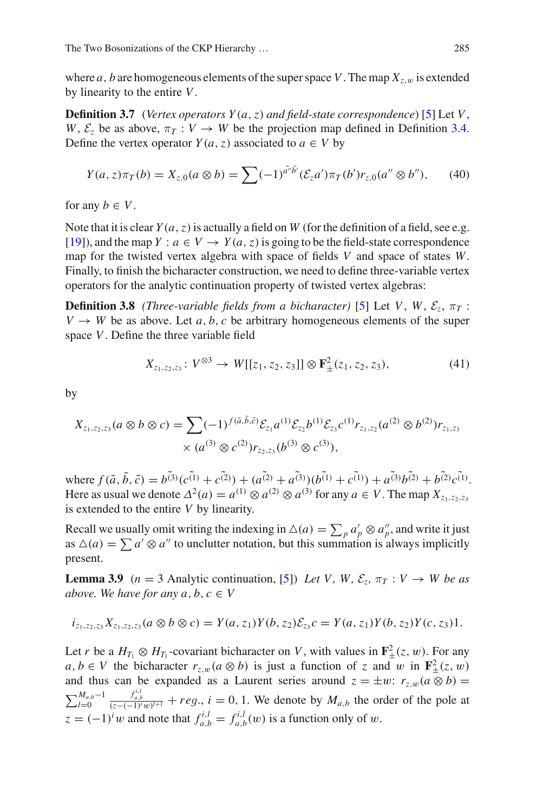where *a*, *b* are homogeneous elements of the super space *V*. The map  $X_{z,w}$  is extended by linearity to the entire *V*.

**Definition 3.7** (*Vertex operators Y* (*a*,*z*) *and field-state correspondence*) [\[5](#page-16-6)] Let *V*, *W*,  $\mathcal{E}_z$  be as above,  $\pi_T : V \to W$  be the projection map defined in Definition [3.4.](#page-9-1) Define the vertex operator  $Y(a, z)$  associated to  $a \in V$  by

<span id="page-10-0"></span>
$$
Y(a, z)\pi_T(b) = X_{z,0}(a \otimes b) = \sum (-1)^{\tilde{a}''\tilde{b}'} (\mathcal{E}_z a')\pi_T(b')r_{z,0}(a'' \otimes b''), \qquad (40)
$$

for any  $b \in V$ .

Note that it is clear  $Y(a, z)$  is actually a field on W (for the definition of a field, see e.g.  $[19]$ ), and the map  $Y : a \in V \to Y(a, z)$  is going to be the field-state correspondence map for the twisted vertex algebra with space of fields *V* and space of states *W*. Finally, to finish the bicharacter construction, we need to define three-variable vertex operators for the analytic continuation property of twisted vertex algebras:

**Definition 3.8** *(Three-variable fields from a bicharacter)* [\[5\]](#page-16-6) Let *V*, *W*,  $\mathcal{E}_z$ ,  $\pi_T$ :  $V \rightarrow W$  be as above. Let *a*, *b*, *c* be arbitrary homogeneous elements of the super space *V*. Define the three variable field

$$
X_{z_1,z_2,z_3} \colon V^{\otimes 3} \to W[[z_1, z_2, z_3]] \otimes \mathbf{F}^2_{\pm}(z_1, z_2, z_3), \tag{41}
$$

by

$$
X_{z_1,z_2,z_3}(a \otimes b \otimes c) = \sum_{x} (-1)^{f(\tilde{a},\tilde{b},\tilde{c})} \mathcal{E}_{z_1} a^{(1)} \mathcal{E}_{z_2} b^{(1)} \mathcal{E}_{z_3} c^{(1)} r_{z_1,z_2} (a^{(2)} \otimes b^{(2)}) r_{z_1,z_3}
$$
  
 
$$
\times (a^{(3)} \otimes c^{(2)}) r_{z_2,z_3} (b^{(3)} \otimes c^{(3)}),
$$

where  $f(\tilde{a}, \tilde{b}, \tilde{c}) = b^{(3)}(c^{(1)} + c^{(2)}) + (a^{(2)} + a^{(3)})(b^{(1)} + c^{(1)}) + a^{(3)}b^{(2)} + b^{(2)}c^{(1)}$ . Here as usual we denote  $\Delta^2(a) = a^{(1)} \otimes a^{(2)} \otimes a^{(3)}$  for any  $a \in V$ . The map  $X_{z_1,z_2,z_3}$ is extended to the entire *V* by linearity.

Recall we usually omit writing the indexing in  $\Delta(a) = \sum_p a'_p \otimes a''_p$ , and write it just as  $\Delta(a) = \sum a' \otimes a''$  to unclutter notation, but this summation is always implicitly present.

**Lemma 3.9** ( $n = 3$  Analytic continuation, [\[5](#page-16-6)]) *Let V, W,*  $\mathcal{E}_z$ *,*  $\pi_T : V \to W$  *be as above.* We have for any  $a, b, c \in V$ 

$$
i_{z_1,z_2,z_3}X_{z_1,z_2,z_3}(a\otimes b\otimes c)=Y(a,z_1)Y(b,z_2)\mathcal{E}_{z_3}c=Y(a,z_1)Y(b,z_2)Y(c,z_3)1.
$$

Let *r* be a  $H_{T_1} \otimes H_{T_1}$ -covariant bicharacter on *V*, with values in  $\mathbf{F}_\pm^2(z, w)$ . For any *a*, *b* ∈ *V* the bicharacter  $r_{z,w}(a \otimes b)$  is just a function of *z* and *w* in  $\mathbf{F}_{\pm}^2(z, w)$ and thus can be expanded as a Laurent series around  $z = \pm w$ :  $r_{z,w}(a \otimes b) =$  $\sum_{l=0}^{M_{a,b}-1}$ *l*=0  $\frac{f_{a,b}^{i,l}}{(z-(-1)^i w)^{l+1}} + reg, i = 0, 1$ . We denote by  $M_{a,b}$  the order of the pole at  $z = (-1)^i w$  and note that  $f_{a,b}^{i,l} = f_{a,b}^{i,l}(w)$  is a function only of w.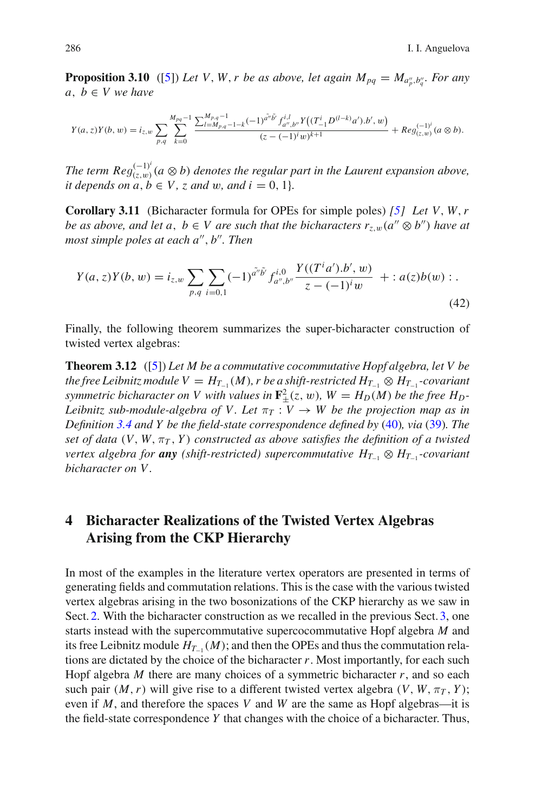**Proposition 3.10** ([\[5](#page-16-6)]) *Let V*, *W*, *r be as above, let again*  $M_{pq} = M_{a_p^{\prime\prime},b_q^{\prime\prime}}$ . For any  $a, b \in V$  *we have* 

$$
Y(a,z)Y(b,w) = i_{z,w} \sum_{p,q} \sum_{k=0}^{M_{pq}-1} \frac{\sum_{l=M_{p,q}-1-k}^{M_{p,q}-1} (-1)^{\tilde{a}^{n}\tilde{b}^{r}} f_{a^{n},b^{n}}^{i,l} Y((T_{-1}^{i}D^{(l-k)}a^{r}),b^{r},w)}{(z - (-1)^{i}w)^{k+1}} + Reg_{(z,w)}^{(-1)^{i}}(a \otimes b).
$$

*The term*  $Reg_{(z,w)}^{(-1)^i}$  ( $a \otimes b$ ) *denotes the regular part in the Laurent expansion above,*<br>*it denends on a, b* ∈ *V, z and w, and i* = 0, 1} *it depends on a,*  $b \in V$ *, z and w, and i* = 0, 1}.

<span id="page-11-1"></span>**Corollary 3.11** (Bicharacter formula for OPEs for simple poles) *[\[5](#page-16-6)] Let V*, *W*,*r be as above, and let a, b* ∈ *V are such that the bicharacters*  $r_{z,w}(a'' \otimes b'')$  *have at most simple poles at each a'', b''. Then* 

$$
Y(a, z)Y(b, w) = i_{z,w} \sum_{p,q} \sum_{i=0,1} (-1)^{\tilde{a}^{\prime\prime}\tilde{b}^{\prime}} f_{a^{\prime\prime},b^{\prime\prime}}^{i,0} \frac{Y((T^i a^{\prime\prime}).b^{\prime}, w)}{z - (-1)^i w} + :a(z)b(w) :.
$$
\n(42)

<span id="page-11-0"></span>Finally, the following theorem summarizes the super-bicharacter construction of twisted vertex algebras:

**Theorem 3.12** ([\[5\]](#page-16-6)) *Let M be a commutative cocommutative Hopf algebra, let V be the free Leibnitz module V* =  $H_{T_{-1}}(M)$ *, r be a shift-restricted*  $H_{T_{-1}} \otimes H_{T_{-1}}$ *-covariant symmetric bicharacter on V* with values in  $\mathbf{F}_{\pm}^2(z, w)$ ,  $W = H_D(M)$  be the free  $H_D$ -*Leibnitz sub-module-algebra of V. Let*  $\pi$ <sup>*T</sup></sup> : V*  $\rightarrow$  *W be the projection map as in*</sup> *Definition [3.4](#page-9-1) and Y be the field-state correspondence defined by* [\(40\)](#page-10-0)*, via* [\(39\)](#page-9-2)*. The set of data*  $(V, W, \pi_T, Y)$  *constructed as above satisfies the definition of a twisted vertex algebra for any (shift-restricted) supercommutative*  $H_{T-1} \otimes H_{T-1}$ *-covariant bicharacter on V .*

## **4 Bicharacter Realizations of the Twisted Vertex Algebras Arising from the CKP Hierarchy**

In most of the examples in the literature vertex operators are presented in terms of generating fields and commutation relations. This is the case with the various twisted vertex algebras arising in the two bosonizations of the CKP hierarchy as we saw in Sect. [2.](#page-2-0) With the bicharacter construction as we recalled in the previous Sect. [3,](#page-7-0) one starts instead with the supercommutative supercocommutative Hopf algebra *M* and its free Leibnitz module  $H_{T-1}(M)$ ; and then the OPEs and thus the commutation relations are dictated by the choice of the bicharacter  $r$ . Most importantly, for each such Hopf algebra *M* there are many choices of a symmetric bicharacter *r*, and so each such pair  $(M, r)$  will give rise to a different twisted vertex algebra  $(V, W, \pi_T, Y)$ ; even if *M*, and therefore the spaces *V* and *W* are the same as Hopf algebras—it is the field-state correspondence *Y* that changes with the choice of a bicharacter. Thus,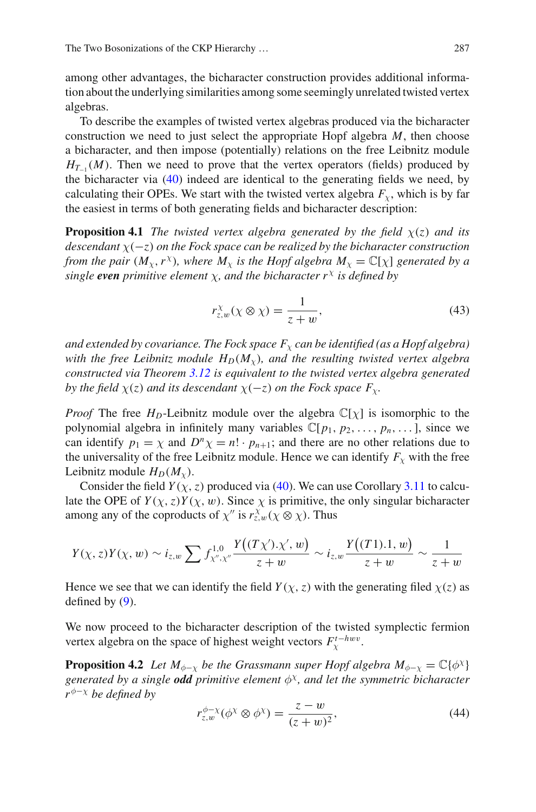among other advantages, the bicharacter construction provides additional information about the underlying similarities among some seemingly unrelated twisted vertex algebras.

To describe the examples of twisted vertex algebras produced via the bicharacter construction we need to just select the appropriate Hopf algebra *M*, then choose a bicharacter, and then impose (potentially) relations on the free Leibnitz module  $H_{T_{-1}}(M)$ . Then we need to prove that the vertex operators (fields) produced by the bicharacter via [\(40\)](#page-10-0) indeed are identical to the generating fields we need, by calculating their OPEs. We start with the twisted vertex algebra  $F<sub>x</sub>$ , which is by far the easiest in terms of both generating fields and bicharacter description:

**Proposition 4.1** *The twisted vertex algebra generated by the field*  $\chi(z)$  *and its descendant* χ(−*z*) *on the Fock space can be realized by the bicharacter construction from the pair*  $(M_x, r^{\chi})$ *, where*  $M_{\chi}$  *is the Hopf algebra*  $M_{\chi} = \mathbb{C}[\chi]$  *generated by a single even primitive element*  $\chi$ *, and the bicharacter*  $r^{\chi}$  *is defined by* 

<span id="page-12-0"></span>
$$
r_{z,w}^{\chi}(\chi\otimes\chi) = \frac{1}{z+w},\tag{43}
$$

*and extended by covariance. The Fock space F*χ *can be identified (as a Hopf algebra) with the free Leibnitz module*  $H_D(M_\chi)$ , and the resulting twisted vertex algebra *constructed via Theorem [3.12](#page-11-0) is equivalent to the twisted vertex algebra generated by the field*  $\chi(z)$  *and its descendant*  $\chi(-z)$  *on the Fock space*  $F_{\chi}$ *.* 

*Proof* The free  $H_D$ -Leibnitz module over the algebra  $\mathbb{C}[\chi]$  is isomorphic to the polynomial algebra in infinitely many variables  $\mathbb{C}[p_1, p_2, \ldots, p_n, \ldots]$ , since we can identify  $p_1 = \chi$  and  $D^n \chi = n! \cdot p_{n+1}$ ; and there are no other relations due to the universality of the free Leibnitz module. Hence we can identify  $F_\chi$  with the free Leibnitz module  $H_D(M_Y)$ .

Consider the field  $Y(x, z)$  produced via [\(40\)](#page-10-0). We can use Corollary [3.11](#page-11-1) to calculate the OPE of  $Y(\chi, z)Y(\chi, w)$ . Since  $\chi$  is primitive, the only singular bicharacter among any of the coproducts of  $\chi''$  is  $r_{z,w}^{\chi}(\chi \otimes \chi)$ . Thus

$$
Y(\chi, z)Y(\chi, w) \sim i_{z,w} \sum f_{\chi'', \chi''}^{1,0} \frac{Y((T\chi').\chi', w)}{z + w} \sim i_{z,w} \frac{Y((T1).1, w)}{z + w} \sim \frac{1}{z + w}
$$

Hence we see that we can identify the field  $Y(\chi, z)$  with the generating filed  $\chi(z)$  as defined by [\(9\)](#page-4-0).

We now proceed to the bicharacter description of the twisted symplectic fermion vertex algebra on the space of highest weight vectors  $F_{\chi}^{t-hwv}$ .

**Proposition 4.2** *Let*  $M_{\phi-\chi}$  *be the Grassmann super Hopf algebra*  $M_{\phi-\chi} = \mathbb{C}\{\phi^\chi\}$ *generated by a single odd primitive element*  $\phi^{\chi}$ *, and let the symmetric bicharacter r*<sup> $φ−χ$ </sup> *be defined by* 

$$
r_{z,w}^{\phi-\chi}(\phi^\chi \otimes \phi^\chi) = \frac{z-w}{(z+w)^2},\tag{44}
$$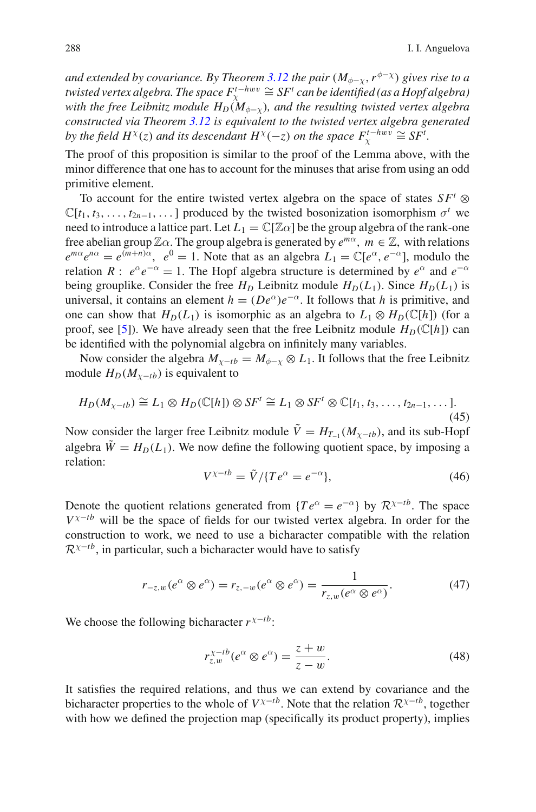*and extended by covariance. By Theorem* [3.12](#page-11-0) *the pair* ( $M_{\phi-\gamma}$ ,  $r^{\phi-\chi}$ ) gives rise to a *twisted vertex algebra. The space*  $F_{\chi}^{t-hwv}$   $\cong$  *SF<sup>t</sup> can be identified (as a Hopf algebra)*<br>with the free Leibnitz module H<sub>D</sub>(M<sub>in</sub>) and the resulting twisted vertex algebra *with the free Leibnitz module*  $H_D(\hat{M}_{\phi-\chi})$ *, and the resulting twisted vertex algebra constructed via Theorem [3.12](#page-11-0) is equivalent to the twisted vertex algebra generated by the field H<sup>x</sup>*(*z*) *and its descendant*  $H^{\chi}(-z)$  *on the space*  $F_{\chi}^{t-hwv} \cong SF^t$ .

The proof of this proposition is similar to the proof of the Lemma above, with the minor difference that one has to account for the minuses that arise from using an odd primitive element.

To account for the entire twisted vertex algebra on the space of states  $SF<sup>t</sup>$  ⊗  $\mathbb{C}[t_1, t_3, \ldots, t_{2n-1}, \ldots]$  produced by the twisted bosonization isomorphism  $\sigma^t$  we need to introduce a lattice part. Let  $L_1 = \mathbb{C}[\mathbb{Z}\alpha]$  be the group algebra of the rank-one free abelian group  $\mathbb{Z}\alpha$ . The group algebra is generated by  $e^{m\alpha}$ ,  $m \in \mathbb{Z}$ , with relations  $e^{m\alpha}e^{n\alpha} = e^{(m+n)\alpha}$ ,  $e^{0} = 1$ . Note that as an algebra  $L_1 = \mathbb{C}[e^{\alpha}, e^{-\alpha}]$ , modulo the relation *R* :  $e^{\alpha}e^{-\alpha} = 1$ . The Hopf algebra structure is determined by  $e^{\alpha}$  and  $e^{-\alpha}$ being grouplike. Consider the free  $H_D$  Leibnitz module  $H_D(L_1)$ . Since  $H_D(L_1)$  is universal, it contains an element  $h = (De^{\alpha})e^{-\alpha}$ . It follows that *h* is primitive, and one can show that  $H_D(L_1)$  is isomorphic as an algebra to  $L_1 \otimes H_D(\mathbb{C}[h])$  (for a proof, see [\[5\]](#page-16-6)). We have already seen that the free Leibnitz module  $H_D(\mathbb{C}[h])$  can be identified with the polynomial algebra on infinitely many variables.

Now consider the algebra  $M_{\chi - tb} = M_{\phi - \chi} \otimes L_1$ . It follows that the free Leibnitz module  $H_D(M_{\gamma - tb})$  is equivalent to

$$
H_D(M_{\chi - tb}) \cong L_1 \otimes H_D(\mathbb{C}[h]) \otimes SF^t \cong L_1 \otimes SF^t \otimes \mathbb{C}[t_1, t_3, \dots, t_{2n-1}, \dots].
$$
\n(45)

Now consider the larger free Leibnitz module  $V = H_{T-1}(M_{\chi - tb})$ , and its sub-Hopf algebra  $\tilde{W} = H_D(L_1)$ . We now define the following quotient space, by imposing a relation:

$$
V^{\chi - tb} = \tilde{V} / \{Te^{\alpha} = e^{-\alpha}\},\tag{46}
$$

Denote the quotient relations generated from  ${Te^{\alpha} = e^{-\alpha}}$  by  $R^{\chi - tb}$ . The space  $V^{\chi-th}$  will be the space of fields for our twisted vertex algebra. In order for the construction to work, we need to use a bicharacter compatible with the relation  $R^{\chi - tb}$ , in particular, such a bicharacter would have to satisfy

$$
r_{-z,w}(e^{\alpha} \otimes e^{\alpha}) = r_{z,-w}(e^{\alpha} \otimes e^{\alpha}) = \frac{1}{r_{z,w}(e^{\alpha} \otimes e^{\alpha})}.
$$
 (47)

We choose the following bicharacter  $r^{\chi - tb}$ :

$$
r_{z,w}^{\chi - tb}(e^{\alpha} \otimes e^{\alpha}) = \frac{z+w}{z-w}.
$$
 (48)

It satisfies the required relations, and thus we can extend by covariance and the bicharacter properties to the whole of  $V^{\chi - t}$ . Note that the relation  $\mathcal{R}^{\chi - t}$ , together with how we defined the projection map (specifically its product property), implies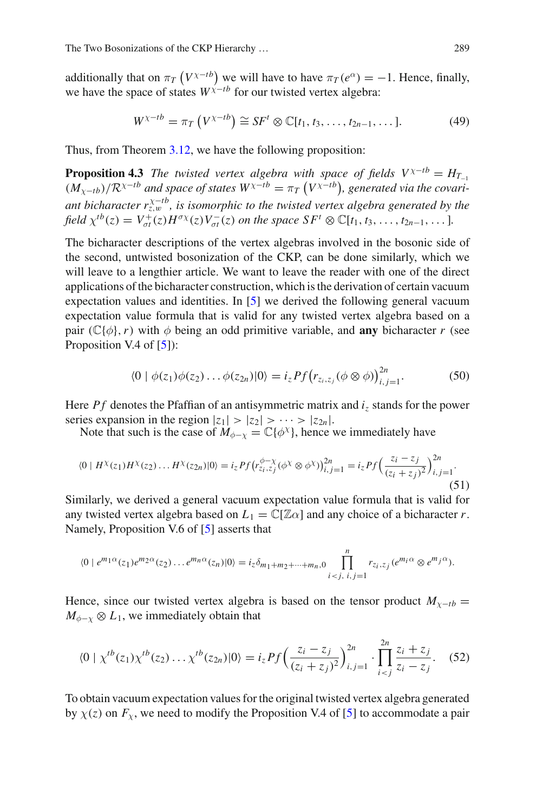additionally that on  $\pi_T (V^{\chi - t b})$  we will have to have  $\pi_T (e^{\alpha}) = -1$ . Hence, finally, we have the space of states  $W^{\chi - t b}$  for our twisted vertex algebra: we have the space of states  $W^{\chi - tb}$  for our twisted vertex algebra:

$$
W^{\chi - t b} = \pi_T \left( V^{\chi - t b} \right) \cong SF^t \otimes \mathbb{C}[t_1, t_3, \dots, t_{2n-1}, \dots]. \tag{49}
$$

Thus, from Theorem [3.12,](#page-11-0) we have the following proposition:

**Proposition 4.3** *The twisted vertex algebra with space of fields*  $V^{\chi-tb} = H_{T-1}$  $(M_{\chi - t}b)/\mathcal{R}^{\chi - t}b$  and space of states  $W^{\chi - t}b = \pi_T (V^{\chi - t}b)$ , generated via the covari-<br> *ant* kickengator  $v^{\chi - t}b$  is isomorphic to the twisted vertex glashes assessed by the *ant bicharacter*  $r_{z,w}^{\chi-tb}$ *, is isomorphic to the twisted vertex algebra generated by the field*  $\chi^{tb}(z) = V_{\sigma t}^+(z)H^{\sigma x}(z)V_{\sigma t}^-(z)$  *on the space*  $SF^t \otimes \mathbb{C}[t_1, t_3, \ldots, t_{2n-1}, \ldots]$ *.* 

The bicharacter descriptions of the vertex algebras involved in the bosonic side of the second, untwisted bosonization of the CKP, can be done similarly, which we will leave to a lengthier article. We want to leave the reader with one of the direct applications of the bicharacter construction, which is the derivation of certain vacuum expectation values and identities. In [\[5](#page-16-6)] we derived the following general vacuum expectation value formula that is valid for any twisted vertex algebra based on a pair  $(\mathbb{C}\{\phi\}, r)$  with  $\phi$  being an odd primitive variable, and **any** bicharacter *r* (see Proposition V.4 of [\[5\]](#page-16-6)):

$$
\langle 0 | \phi(z_1)\phi(z_2)\dots\phi(z_{2n}) |0\rangle = i_z P f (r_{z_i,z_j}(\phi \otimes \phi))_{i,j=1}^{2n}.
$$
 (50)

Here *Pf* denotes the Pfaffian of an antisymmetric matrix and  $i<sub>z</sub>$  stands for the power

series expansion in the region  $|z_1| > |z_2| > \cdots > |z_{2n}|$ .<br>Note that such is the case of *M*<sub>φ−*x*</sub> = ℂ{ $\phi^{\chi}$ }, hence we immediately have

$$
\langle 0 \mid H^{\chi}(z_1) H^{\chi}(z_2) \dots H^{\chi}(z_{2n}) | 0 \rangle = i_z P f \big( r_{z_i, z_j}^{\phi - \chi} (\phi^{\chi} \otimes \phi^{\chi}) \big)_{i,j=1}^{2n} = i_z P f \big( \frac{z_i - z_j}{(z_i + z_j)^2} \big)_{i,j=1}^{2n}.
$$
\n(51)

Similarly, we derived a general vacuum expectation value formula that is valid for any twisted vertex algebra based on  $L_1 = \mathbb{C}[\mathbb{Z}\alpha]$  and any choice of a bicharacter *r*. Namely, Proposition V.6 of [\[5\]](#page-16-6) asserts that

$$
\langle 0 \mid e^{m_1 \alpha}(z_1) e^{m_2 \alpha}(z_2) \dots e^{m_n \alpha}(z_n) | 0 \rangle = i_z \delta_{m_1 + m_2 + \dots + m_n, 0} \prod_{i < j, i, j = 1}^n r_{z_i, z_j} (e^{m_i \alpha} \otimes e^{m_j \alpha}).
$$

Hence, since our twisted vertex algebra is based on the tensor product  $M_{\chi - tb}$  =  $M_{\phi-\gamma} \otimes L_1$ , we immediately obtain that

$$
\langle 0 | \chi^{tb}(z_1) \chi^{tb}(z_2) \dots \chi^{tb}(z_{2n}) | 0 \rangle = i_z P f \Big( \frac{z_i - z_j}{(z_i + z_j)^2} \Big)_{i,j=1}^{2n} \cdot \prod_{i < j} \frac{z_i + z_j}{z_i - z_j}. \tag{52}
$$

To obtain vacuum expectation values for the original twisted vertex algebra generated by  $\chi(z)$  on  $F_\chi$ , we need to modify the Proposition V.4 of [\[5](#page-16-6)] to accommodate a pair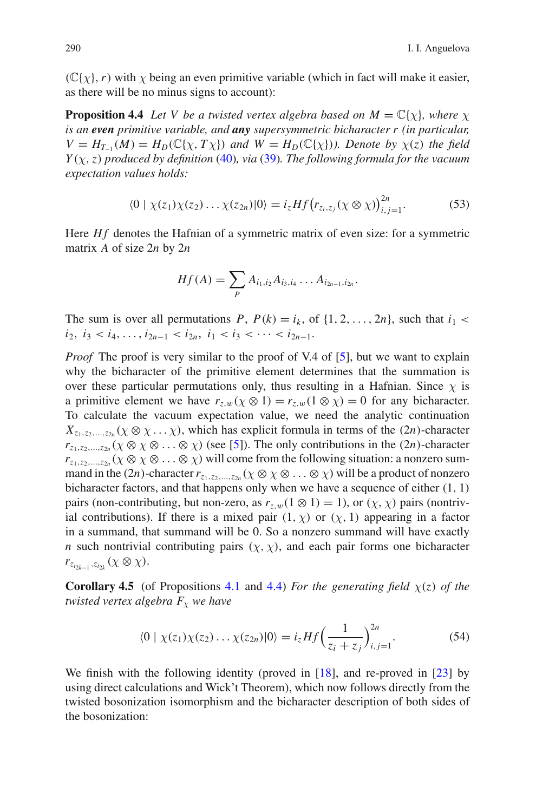$(\mathbb{C}\{\chi\},r)$  with  $\chi$  being an even primitive variable (which in fact will make it easier, as there will be no minus signs to account):

**Proposition 4.4** *Let V be a twisted vertex algebra based on*  $M = \mathbb{C}\{\chi\}$ , where  $\chi$ *is an even primitive variable, and any supersymmetric bicharacter r (in particular,*  $V = H_{T-1}(M) = H_D(\mathbb{C}\{\chi,T\chi\})$  *and*  $W = H_D(\mathbb{C}\{\chi\})$ *). Denote by*  $\chi(z)$  *the field <sup>Y</sup>* (χ,*z*) *produced by definition* [\(40\)](#page-10-0)*, via* [\(39\)](#page-9-2)*. The following formula for the vacuum expectation values holds:*

<span id="page-15-0"></span>
$$
\langle 0 | \chi(z_1) \chi(z_2) \dots \chi(z_{2n}) | 0 \rangle = i_z H f \big( r_{z_i, z_j} (\chi \otimes \chi) \big)_{i,j=1}^{2n}.
$$
 (53)

Here *Hf* denotes the Hafnian of a symmetric matrix of even size: for a symmetric matrix *A* of size 2*n* by 2*n*

$$
Hf(A) = \sum_{P} A_{i_1,i_2} A_{i_3,i_4} \dots A_{i_{2n-1},i_{2n}}.
$$

The sum is over all permutations *P*,  $P(k) = i_k$ , of  $\{1, 2, ..., 2n\}$ , such that  $i_1$  $i_2, i_3 < i_4, \ldots, i_{2n-1} < i_{2n}, i_1 < i_3 < \cdots < i_{2n-1}.$ 

*Proof* The proof is very similar to the proof of V.4 of [\[5\]](#page-16-6), but we want to explain why the bicharacter of the primitive element determines that the summation is over these particular permutations only, thus resulting in a Hafnian. Since  $\chi$  is a primitive element we have  $r_{z,w}(\chi \otimes 1) = r_{z,w}(1 \otimes \chi) = 0$  for any bicharacter. To calculate the vacuum expectation value, we need the analytic continuation  $X_{z_1,z_2,...,z_n}(\chi \otimes \chi ... \chi)$ , which has explicit formula in terms of the (2*n*)-character  $r_{z_1,z_2,...,z_{2n}}(\chi \otimes \chi \otimes ... \otimes \chi)$  (see [\[5](#page-16-6)]). The only contributions in the  $(2n)$ -character  $r_{z_1,z_2,...,z_n}(\chi \otimes \chi \otimes ... \otimes \chi)$  will come from the following situation: a nonzero summand in the (2*n*)-character  $r_{z_1,z_2,...,z_n}$  ( $\chi \otimes \chi \otimes ... \otimes \chi$ ) will be a product of nonzero bicharacter factors, and that happens only when we have a sequence of either  $(1, 1)$ pairs (non-contributing, but non-zero, as  $r_{z,w}(1 \otimes 1) = 1$ ), or  $(\chi, \chi)$  pairs (nontrivial contributions). If there is a mixed pair  $(1, \chi)$  or  $(\chi, 1)$  appearing in a factor in a summand, that summand will be 0. So a nonzero summand will have exactly *n* such nontrivial contributing pairs  $(\chi, \chi)$ , and each pair forms one bicharacter  $r_{z_{i_{2k-1}},z_{i_{2k}}}(\chi \otimes \chi).$ 

**Corollary 4.5** (of Propositions [4.1](#page-12-0) and [4.4\)](#page-15-0) *For the generating field*  $\chi(z)$  *of the twisted vertex algebra F*χ *we have*

<span id="page-15-1"></span>
$$
\langle 0 | \chi(z_1) \chi(z_2) \dots \chi(z_{2n}) | 0 \rangle = i_z H f \Big( \frac{1}{z_i + z_j} \Big)_{i,j=1}^{2n}.
$$
 (54)

We finish with the following identity (proved in [\[18\]](#page-17-8), and re-proved in [\[23\]](#page-17-7) by using direct calculations and Wick't Theorem), which now follows directly from the twisted bosonization isomorphism and the bicharacter description of both sides of the bosonization: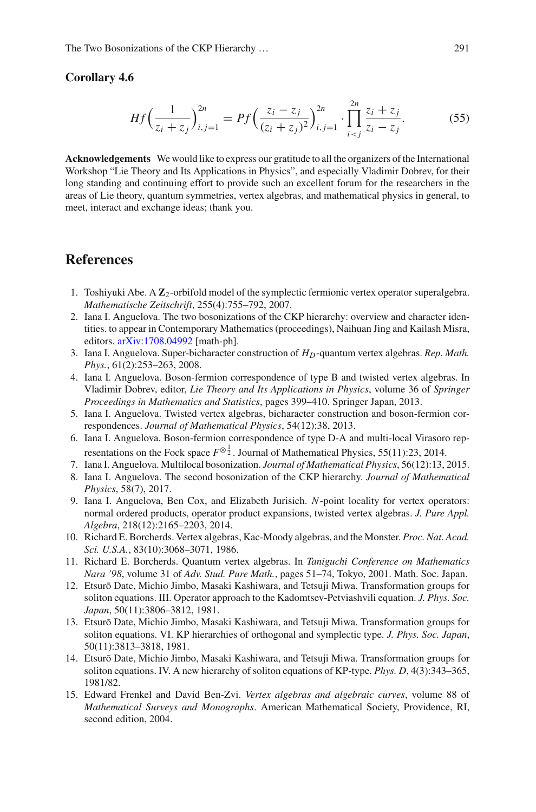#### **Corollary 4.6**

$$
Hf\left(\frac{1}{z_i+z_j}\right)_{i,j=1}^{2n} = Pf\left(\frac{z_i-z_j}{(z_i+z_j)^2}\right)_{i,j=1}^{2n} \cdot \prod_{i (55)
$$

**Acknowledgements** We would like to express our gratitude to all the organizers of the International Workshop "Lie Theory and Its Applications in Physics", and especially Vladimir Dobrev, for their long standing and continuing effort to provide such an excellent forum for the researchers in the areas of Lie theory, quantum symmetries, vertex algebras, and mathematical physics in general, to meet, interact and exchange ideas; thank you.

#### **References**

- <span id="page-16-13"></span>1. Toshiyuki Abe. A **Z**2-orbifold model of the symplectic fermionic vertex operator superalgebra. *Mathematische Zeitschrift*, 255(4):755–792, 2007.
- <span id="page-16-8"></span>2. Iana I. Anguelova. The two bosonizations of the CKP hierarchy: overview and character identities. to appear in Contemporary Mathematics (proceedings), Naihuan Jing and Kailash Misra, editors. [arXiv:1708.04992](http://arxiv.org/abs/1708.04992) [math-ph].
- <span id="page-16-14"></span>3. Iana I. Anguelova. Super-bicharacter construction of *HD*-quantum vertex algebras. *Rep. Math. Phys.*, 61(2):253–263, 2008.
- <span id="page-16-5"></span>4. Iana I. Anguelova. Boson-fermion correspondence of type B and twisted vertex algebras. In Vladimir Dobrev, editor, *Lie Theory and Its Applications in Physics*, volume 36 of *Springer Proceedings in Mathematics and Statistics*, pages 399–410. Springer Japan, 2013.
- <span id="page-16-6"></span>5. Iana I. Anguelova. Twisted vertex algebras, bicharacter construction and boson-fermion correspondences. *Journal of Mathematical Physics*, 54(12):38, 2013.
- <span id="page-16-11"></span>6. Iana I. Anguelova. Boson-fermion correspondence of type D-A and multi-local Virasoro representations on the Fock space  $F^{\otimes \frac{1}{2}}$ . Journal of Mathematical Physics, 55(11):23, 2014.
- <span id="page-16-12"></span>7. Iana I. Anguelova. Multilocal bosonization. *Journal of Mathematical Physics*, 56(12):13, 2015.
- <span id="page-16-9"></span>8. Iana I. Anguelova. The second bosonization of the CKP hierarchy. *Journal of Mathematical Physics*, 58(7), 2017.
- <span id="page-16-7"></span>9. Iana I. Anguelova, Ben Cox, and Elizabeth Jurisich. *N*-point locality for vertex operators: normal ordered products, operator product expansions, twisted vertex algebras. *J. Pure Appl. Algebra*, 218(12):2165–2203, 2014.
- <span id="page-16-0"></span>10. Richard E. Borcherds. Vertex algebras, Kac-Moody algebras, and the Monster. *Proc. Nat. Acad. Sci. U.S.A.*, 83(10):3068–3071, 1986.
- <span id="page-16-10"></span>11. Richard E. Borcherds. Quantum vertex algebras. In *Taniguchi Conference on Mathematics Nara '98*, volume 31 of *Adv. Stud. Pure Math.*, pages 51–74, Tokyo, 2001. Math. Soc. Japan.
- <span id="page-16-2"></span>12. Etsurō Date, Michio Jimbo, Masaki Kashiwara, and Tetsuji Miwa. Transformation groups for soliton equations. III. Operator approach to the Kadomtsev-Petviashvili equation. *J. Phys. Soc. Japan*, 50(11):3806–3812, 1981.
- <span id="page-16-4"></span>13. Etsurō Date, Michio Jimbo, Masaki Kashiwara, and Tetsuji Miwa. Transformation groups for soliton equations. VI. KP hierarchies of orthogonal and symplectic type. *J. Phys. Soc. Japan*, 50(11):3813–3818, 1981.
- <span id="page-16-3"></span>14. Etsurō Date, Michio Jimbo, Masaki Kashiwara, and Tetsuji Miwa. Transformation groups for soliton equations. IV. A new hierarchy of soliton equations of KP-type. *Phys. D*, 4(3):343–365, 1981/82.
- <span id="page-16-1"></span>15. Edward Frenkel and David Ben-Zvi. *Vertex algebras and algebraic curves*, volume 88 of *Mathematical Surveys and Monographs*. American Mathematical Society, Providence, RI, second edition, 2004.